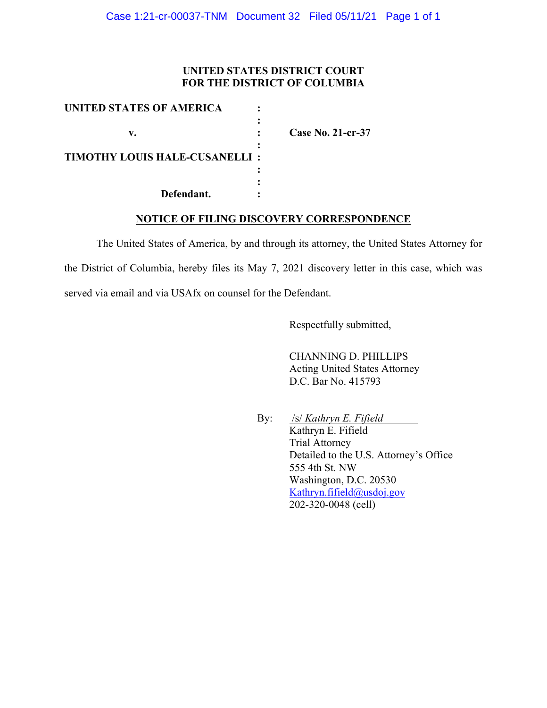## **UNITED STATES DISTRICT COURT FOR THE DISTRICT OF COLUMBIA**

| UNITED STATES OF AMERICA             |                          |
|--------------------------------------|--------------------------|
| v.                                   | <b>Case No. 21-cr-37</b> |
| <b>TIMOTHY LOUIS HALE-CUSANELLI:</b> |                          |
| Defendant.                           |                          |

## **NOTICE OF FILING DISCOVERY CORRESPONDENCE**

The United States of America, by and through its attorney, the United States Attorney for the District of Columbia, hereby files its May 7, 2021 discovery letter in this case, which was served via email and via USAfx on counsel for the Defendant.

Respectfully submitted,

CHANNING D. PHILLIPS Acting United States Attorney D.C. Bar No. 415793

By: /s/ *Kathryn E. Fifield* Kathryn E. Fifield Trial Attorney Detailed to the U.S. Attorney's Office 555 4th St. NW Washington, D.C. 20530 Kathryn.fifield@usdoj.gov 202-320-0048 (cell)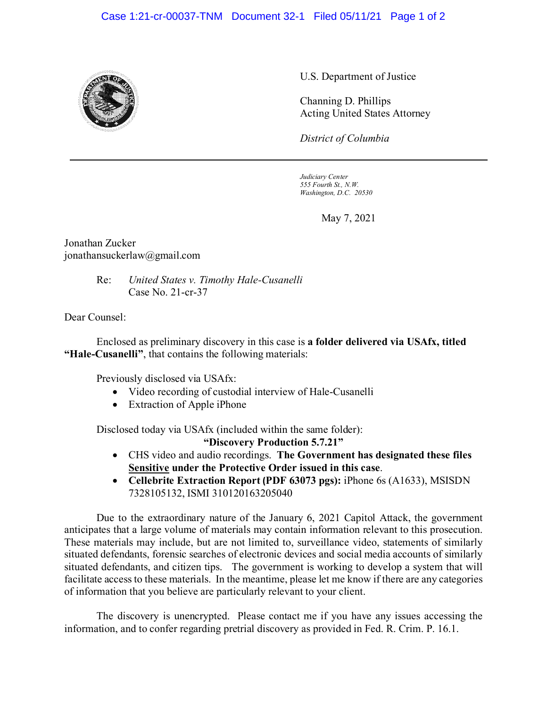## Case 1:21-cr-00037-TNM Document 32-1 Filed 05/11/21 Page 1 of 2



U.S. Department of Justice

Channing D. Phillips Acting United States Attorney

*District of Columbia*

*Judiciary Center 555 Fourth St., N.W. Washington, D.C. 20530*

May 7, 2021

Jonathan Zucker jonathansuckerlaw@gmail.com

> Re: *United States v. Timothy Hale-Cusanelli* Case No. 21-cr-37

Dear Counsel:

Enclosed as preliminary discovery in this case is **a folder delivered via USAfx, titled "Hale-Cusanelli"**, that contains the following materials:

Previously disclosed via USAfx:

- Video recording of custodial interview of Hale-Cusanelli
- Extraction of Apple iPhone

Disclosed today via USAfx (included within the same folder):

**"Discovery Production 5.7.21"**

- CHS video and audio recordings. **The Government has designated these files Sensitive under the Protective Order issued in this case**.
- **Cellebrite Extraction Report (PDF 63073 pgs):** iPhone 6s (A1633), MSISDN 7328105132, ISMI 310120163205040

Due to the extraordinary nature of the January 6, 2021 Capitol Attack, the government anticipates that a large volume of materials may contain information relevant to this prosecution. These materials may include, but are not limited to, surveillance video, statements of similarly situated defendants, forensic searches of electronic devices and social media accounts of similarly situated defendants, and citizen tips. The government is working to develop a system that will facilitate access to these materials. In the meantime, please let me know if there are any categories of information that you believe are particularly relevant to your client.

The discovery is unencrypted. Please contact me if you have any issues accessing the information, and to confer regarding pretrial discovery as provided in Fed. R. Crim. P. 16.1.